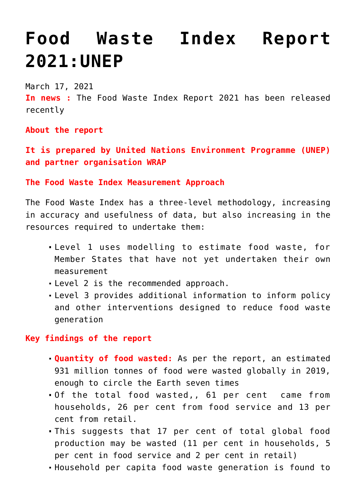# **[Food Waste Index Report](https://journalsofindia.com/food-waste-index-report-2021unep/) [2021:UNEP](https://journalsofindia.com/food-waste-index-report-2021unep/)**

March 17, 2021

**In news :** The Food Waste Index Report 2021 has been released recently

**About the report**

**It is prepared by United Nations Environment Programme (UNEP) and partner organisation WRAP**

**The Food Waste Index Measurement Approach** 

The Food Waste Index has a three-level methodology, increasing in accuracy and usefulness of data, but also increasing in the resources required to undertake them:

- Level 1 uses modelling to estimate food waste, for Member States that have not yet undertaken their own measurement
- Level 2 is the recommended approach.
- Level 3 provides additional information to inform policy and other interventions designed to reduce food waste generation

## **Key findings of the report**

- **Quantity of food wasted:** As per the report, an estimated 931 million tonnes of food were wasted globally in 2019, enough to circle the Earth seven times
- Of the total food wasted,, 61 per cent came from households, 26 per cent from food service and 13 per cent from retail.
- This suggests that 17 per cent of total global food production may be wasted (11 per cent in households, 5 per cent in food service and 2 per cent in retail)
- Household per capita food waste generation is found to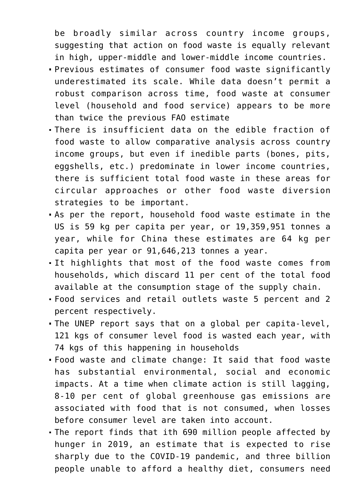be broadly similar across country income groups, suggesting that action on food waste is equally relevant in high, upper-middle and lower-middle income countries.

- Previous estimates of consumer food waste significantly underestimated its scale. While data doesn't permit a robust comparison across time, food waste at consumer level (household and food service) appears to be more than twice the previous FAO estimate
- There is insufficient data on the edible fraction of food waste to allow comparative analysis across country income groups, but even if inedible parts (bones, pits, eggshells, etc.) predominate in lower income countries, there is sufficient total food waste in these areas for circular approaches or other food waste diversion strategies to be important.
- As per the report, household food waste estimate in the US is 59 kg per capita per year, or 19,359,951 tonnes a year, while for China these estimates are 64 kg per capita per year or 91,646,213 tonnes a year.
- It highlights that most of the food waste comes from households, which discard 11 per cent of the total food available at the consumption stage of the supply chain.
- Food services and retail outlets waste 5 percent and 2 percent respectively.
- The UNEP report says that on a global per capita-level, 121 kgs of consumer level food is wasted each year, with 74 kgs of this happening in households
- Food waste and climate change: It said that food waste has substantial environmental, social and economic impacts. At a time when climate action is still lagging, 8-10 per cent of global greenhouse gas emissions are associated with food that is not consumed, when losses before consumer level are taken into account.
- The report finds that ith 690 million people affected by hunger in 2019, an estimate that is expected to rise sharply due to the COVID-19 pandemic, and three billion people unable to afford a healthy diet, consumers need